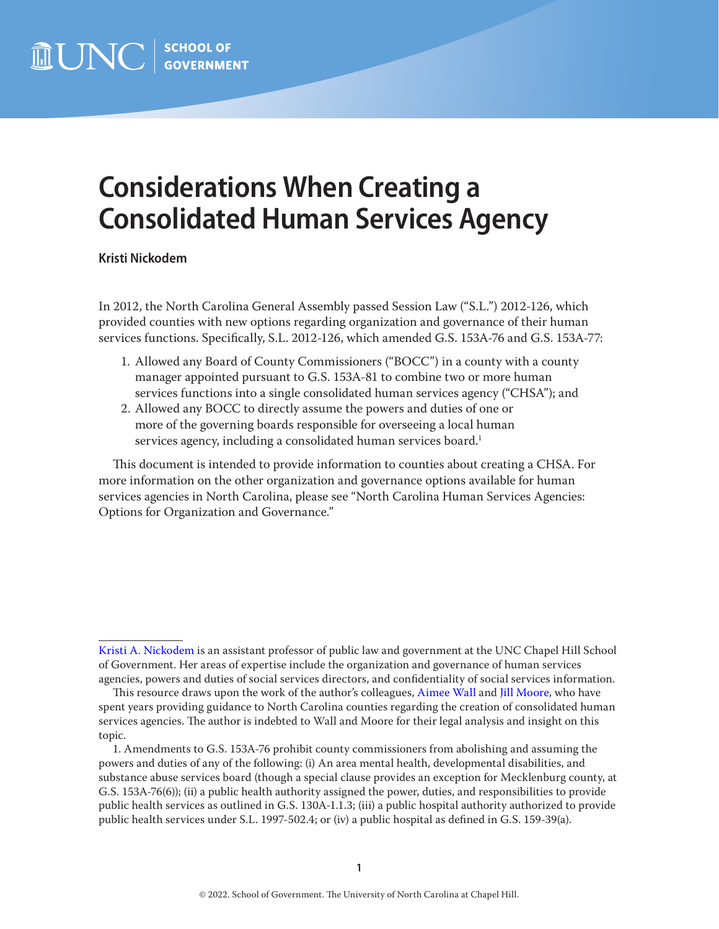# **Considerations When Creating a Consolidated Human Services Agency**

**Kristi Nickodem**

In 2012, the North Carolina General Assembly passed Session Law ("S.L.") 2012-126, which provided counties with new options regarding organization and governance of their human services functions. Specifically, S.L. 2012-126, which amended G.S. 153A-76 and G.S. 153A-77:

- 1. Allowed any Board of County Commissioners ("BOCC") in a county with a county manager appointed pursuant to G.S. 153A-81 to combine two or more human services functions into a single consolidated human services agency ("CHSA"); and
- 2. Allowed any BOCC to directly assume the powers and duties of one or more of the governing boards responsible for overseeing a local human services agency, including a consolidated human services board.<sup>1</sup>

This document is intended to provide information to counties about creating a CHSA. For more information on the other organization and governance options available for human services agencies in North Carolina, please see "North Carolina Human Services Agencies: Options for Organization and Governance."

[Kristi A. Nickodem](https://www.sog.unc.edu/about/faculty-and-staff/kristi-nickodem) is an assistant professor of public law and government at the UNC Chapel Hill School of Government. Her areas of expertise include the organization and governance of human services agencies, powers and duties of social services directors, and confidentiality of social services information.

This resource draws upon the work of the author's colleagues, [Aimee Wall](https://www.sog.unc.edu/about/faculty-and-staff/aimee-n-wall) and [Jill Moore,](https://www.sog.unc.edu/about/faculty-and-staff/jill-d-moore) who have spent years providing guidance to North Carolina counties regarding the creation of consolidated human services agencies. The author is indebted to Wall and Moore for their legal analysis and insight on this topic.

<sup>1.</sup> Amendments to G.S. 153A-76 prohibit county commissioners from abolishing and assuming the powers and duties of any of the following: (i) An area mental health, developmental disabilities, and substance abuse services board (though a special clause provides an exception for Mecklenburg county, at G.S. 153A-76(6)); (ii) a public health authority assigned the power, duties, and responsibilities to provide public health services as outlined in G.S. 130A-1.1.3; (iii) a public hospital authority authorized to provide public health services under S.L. 1997-502.4; or (iv) a public hospital as defined in G.S. 159-39(a).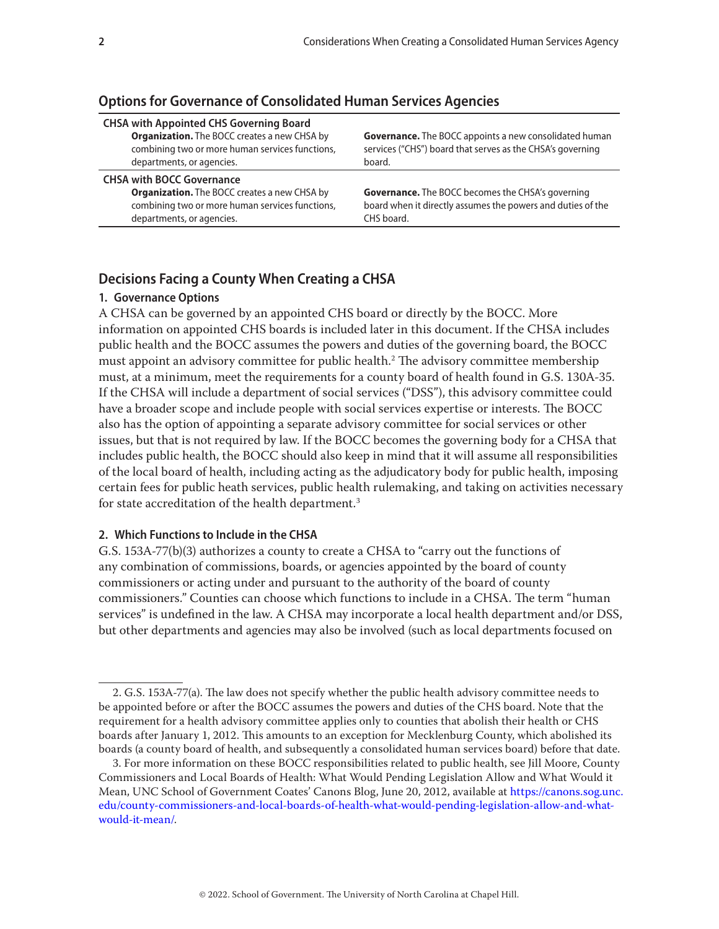| <b>CHSA with BOCC Governance</b> |  |
|----------------------------------|--|
|----------------------------------|--|

**Options for Governance of Consolidated Human Services Agencies** 

**Organization.** The BOCC creates a new CHSA by combining two or more human services functions, departments, or agencies.

**Organization.** The BOCC creates a new CHSA by combining two or more human services functions,

**CHSA with Appointed CHS Governing Board**

departments, or agencies.

**Governance.** The BOCC appoints a new consolidated human services ("CHS") board that serves as the CHSA's governing board.

**Governance.** The BOCC becomes the CHSA's governing board when it directly assumes the powers and duties of the CHS board.

# **Decisions Facing a County When Creating a CHSA**

### **1. Governance Options**

A CHSA can be governed by an appointed CHS board or directly by the BOCC. More information on appointed CHS boards is included later in this document. If the CHSA includes public health and the BOCC assumes the powers and duties of the governing board, the BOCC must appoint an advisory committee for public health.2 The advisory committee membership must, at a minimum, meet the requirements for a county board of health found in G.S. 130A-35. If the CHSA will include a department of social services ("DSS"), this advisory committee could have a broader scope and include people with social services expertise or interests. The BOCC also has the option of appointing a separate advisory committee for social services or other issues, but that is not required by law. If the BOCC becomes the governing body for a CHSA that includes public health, the BOCC should also keep in mind that it will assume all responsibilities of the local board of health, including acting as the adjudicatory body for public health, imposing certain fees for public heath services, public health rulemaking, and taking on activities necessary for state accreditation of the health department.<sup>3</sup>

# **2. Which Functions to Include in the CHSA**

G.S. 153A-77(b)(3) authorizes a county to create a CHSA to "carry out the functions of any combination of commissions, boards, or agencies appointed by the board of county commissioners or acting under and pursuant to the authority of the board of county commissioners." Counties can choose which functions to include in a CHSA. The term "human services" is undefined in the law. A CHSA may incorporate a local health department and/or DSS, but other departments and agencies may also be involved (such as local departments focused on

<sup>2.</sup> G.S. 153A-77(a). The law does not specify whether the public health advisory committee needs to be appointed before or after the BOCC assumes the powers and duties of the CHS board. Note that the requirement for a health advisory committee applies only to counties that abolish their health or CHS boards after January 1, 2012. This amounts to an exception for Mecklenburg County, which abolished its boards (a county board of health, and subsequently a consolidated human services board) before that date.

<sup>3.</sup> For more information on these BOCC responsibilities related to public health, see Jill Moore, County Commissioners and Local Boards of Health: What Would Pending Legislation Allow and What Would it Mean, UNC School of Government Coates' Canons Blog, June 20, 2012, available at [https://canons.sog.unc.](https://canons.sog.unc.edu/county-commissioners-and-local-boards-of-health-what-would-pending-legislation-allow-and-what-would-it-mean/) [edu/county-commissioners-and-local-boards-of-health-what-would-pending-legislation-allow-and-what](https://canons.sog.unc.edu/county-commissioners-and-local-boards-of-health-what-would-pending-legislation-allow-and-what-would-it-mean/)[would-it-mean/](https://canons.sog.unc.edu/county-commissioners-and-local-boards-of-health-what-would-pending-legislation-allow-and-what-would-it-mean/).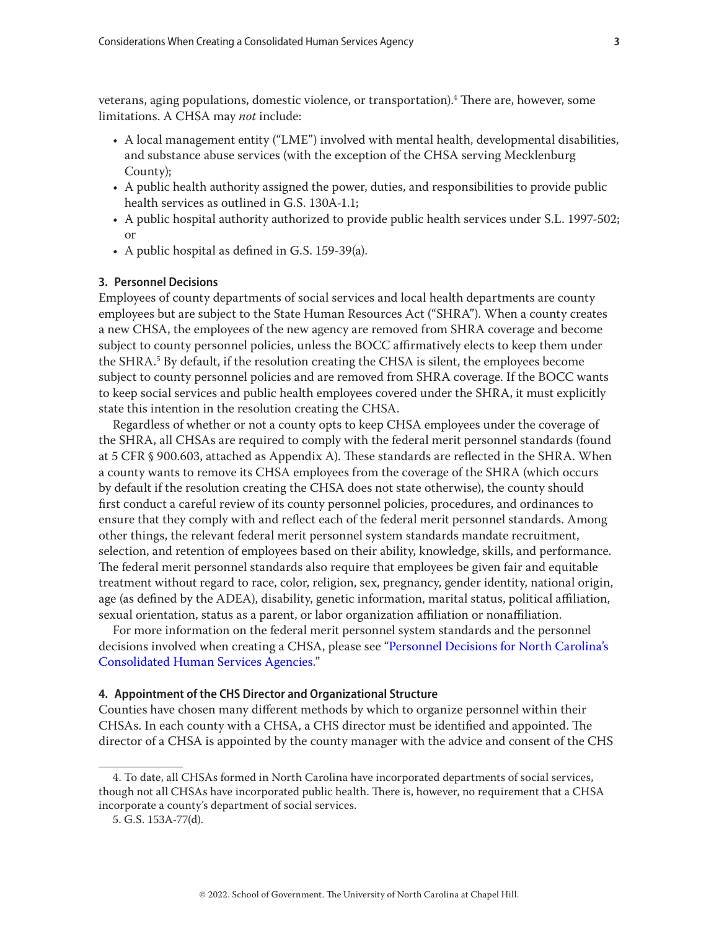veterans, aging populations, domestic violence, or transportation).<sup>4</sup> There are, however, some limitations. A CHSA may *not* include:

- A local management entity ("LME") involved with mental health, developmental disabilities, and substance abuse services (with the exception of the CHSA serving Mecklenburg County);
- A public health authority assigned the power, duties, and responsibilities to provide public health services as outlined in G.S. 130A-1.1;
- A public hospital authority authorized to provide public health services under S.L. 1997-502; or
- A public hospital as defined in G.S. 159-39(a).

#### **3. Personnel Decisions**

Employees of county departments of social services and local health departments are county employees but are subject to the State Human Resources Act ("SHRA"). When a county creates a new CHSA, the employees of the new agency are removed from SHRA coverage and become subject to county personnel policies, unless the BOCC affirmatively elects to keep them under the SHRA.<sup>5</sup> By default, if the resolution creating the CHSA is silent, the employees become subject to county personnel policies and are removed from SHRA coverage. If the BOCC wants to keep social services and public health employees covered under the SHRA, it must explicitly state this intention in the resolution creating the CHSA.

Regardless of whether or not a county opts to keep CHSA employees under the coverage of the SHRA, all CHSAs are required to comply with the federal merit personnel standards (found at 5 CFR § 900.603, attached as Appendix A). These standards are reflected in the SHRA. When a county wants to remove its CHSA employees from the coverage of the SHRA (which occurs by default if the resolution creating the CHSA does not state otherwise), the county should first conduct a careful review of its county personnel policies, procedures, and ordinances to ensure that they comply with and reflect each of the federal merit personnel standards. Among other things, the relevant federal merit personnel system standards mandate recruitment, selection, and retention of employees based on their ability, knowledge, skills, and performance. The federal merit personnel standards also require that employees be given fair and equitable treatment without regard to race, color, religion, sex, pregnancy, gender identity, national origin, age (as defined by the ADEA), disability, genetic information, marital status, political affiliation, sexual orientation, status as a parent, or labor organization affiliation or nonaffiliation.

For more information on the federal merit personnel system standards and the personnel decisions involved when creating a CHSA, please see ["Personnel Decisions for North Carolina's](https://www.sog.unc.edu/sites/www.sog.unc.edu/files/reports/SSLB%2049.pdf)  [Consolidated Human Services Agencies.](https://www.sog.unc.edu/sites/www.sog.unc.edu/files/reports/SSLB%2049.pdf)"

#### **4. Appointment of the CHS Director and Organizational Structure**

Counties have chosen many different methods by which to organize personnel within their CHSAs. In each county with a CHSA, a CHS director must be identified and appointed. The director of a CHSA is appointed by the county manager with the advice and consent of the CHS

<sup>4.</sup> To date, all CHSAs formed in North Carolina have incorporated departments of social services, though not all CHSAs have incorporated public health. There is, however, no requirement that a CHSA incorporate a county's department of social services.

<sup>5.</sup> G.S. 153A-77(d).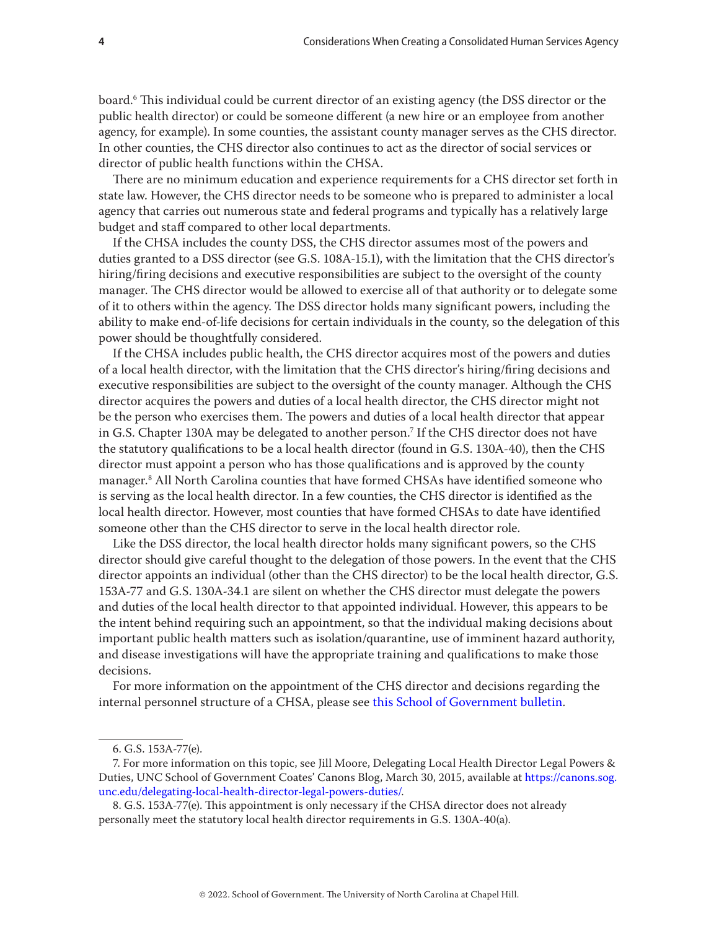board.6 This individual could be current director of an existing agency (the DSS director or the public health director) or could be someone different (a new hire or an employee from another agency, for example). In some counties, the assistant county manager serves as the CHS director. In other counties, the CHS director also continues to act as the director of social services or director of public health functions within the CHSA.

There are no minimum education and experience requirements for a CHS director set forth in state law. However, the CHS director needs to be someone who is prepared to administer a local agency that carries out numerous state and federal programs and typically has a relatively large budget and staff compared to other local departments.

If the CHSA includes the county DSS, the CHS director assumes most of the powers and duties granted to a DSS director (see G.S. 108A-15.1), with the limitation that the CHS director's hiring/firing decisions and executive responsibilities are subject to the oversight of the county manager. The CHS director would be allowed to exercise all of that authority or to delegate some of it to others within the agency. The DSS director holds many significant powers, including the ability to make end-of-life decisions for certain individuals in the county, so the delegation of this power should be thoughtfully considered.

If the CHSA includes public health, the CHS director acquires most of the powers and duties of a local health director, with the limitation that the CHS director's hiring/firing decisions and executive responsibilities are subject to the oversight of the county manager. Although the CHS director acquires the powers and duties of a local health director, the CHS director might not be the person who exercises them. The powers and duties of a local health director that appear in G.S. Chapter 130A may be delegated to another person.7 If the CHS director does not have the statutory qualifications to be a local health director (found in G.S. 130A-40), then the CHS director must appoint a person who has those qualifications and is approved by the county manager.8 All North Carolina counties that have formed CHSAs have identified someone who is serving as the local health director. In a few counties, the CHS director is identified as the local health director. However, most counties that have formed CHSAs to date have identified someone other than the CHS director to serve in the local health director role.

Like the DSS director, the local health director holds many significant powers, so the CHS director should give careful thought to the delegation of those powers. In the event that the CHS director appoints an individual (other than the CHS director) to be the local health director, G.S. 153A-77 and G.S. 130A-34.1 are silent on whether the CHS director must delegate the powers and duties of the local health director to that appointed individual. However, this appears to be the intent behind requiring such an appointment, so that the individual making decisions about important public health matters such as isolation/quarantine, use of imminent hazard authority, and disease investigations will have the appropriate training and qualifications to make those decisions.

For more information on the appointment of the CHS director and decisions regarding the internal personnel structure of a CHSA, please see [this School of Government bulletin](https://www.sog.unc.edu/sites/www.sog.unc.edu/files/reports/SSLB%2049.pdf).

<sup>6.</sup> G.S. 153A-77(e).

<sup>7.</sup> For more information on this topic, see Jill Moore, Delegating Local Health Director Legal Powers & Duties, UNC School of Government Coates' Canons Blog, March 30, 2015, available at [https://canons.sog.](https://canons.sog.unc.edu/delegating-local-health-director-legal-powers-duties/) [unc.edu/delegating-local-health-director-legal-powers-duties/.](https://canons.sog.unc.edu/delegating-local-health-director-legal-powers-duties/)

<sup>8.</sup> G.S. 153A-77(e). This appointment is only necessary if the CHSA director does not already personally meet the statutory local health director requirements in G.S. 130A-40(a).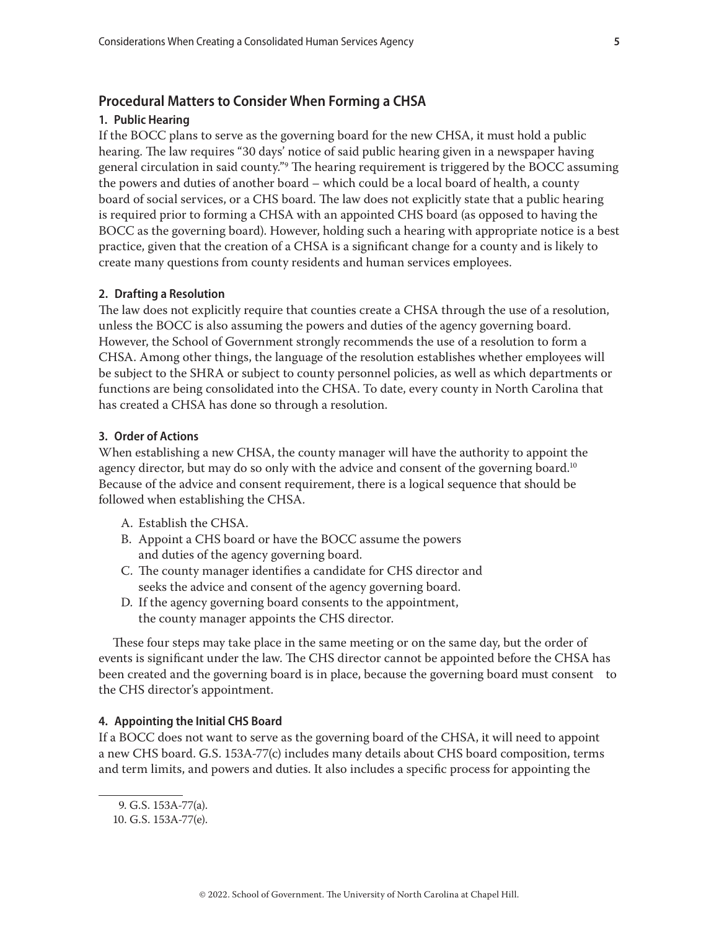# **Procedural Matters to Consider When Forming a CHSA**

# **1. Public Hearing**

If the BOCC plans to serve as the governing board for the new CHSA, it must hold a public hearing. The law requires "30 days' notice of said public hearing given in a newspaper having general circulation in said county."9 The hearing requirement is triggered by the BOCC assuming the powers and duties of another board – which could be a local board of health, a county board of social services, or a CHS board. The law does not explicitly state that a public hearing is required prior to forming a CHSA with an appointed CHS board (as opposed to having the BOCC as the governing board). However, holding such a hearing with appropriate notice is a best practice, given that the creation of a CHSA is a significant change for a county and is likely to create many questions from county residents and human services employees.

#### **2. Drafting a Resolution**

The law does not explicitly require that counties create a CHSA through the use of a resolution, unless the BOCC is also assuming the powers and duties of the agency governing board. However, the School of Government strongly recommends the use of a resolution to form a CHSA. Among other things, the language of the resolution establishes whether employees will be subject to the SHRA or subject to county personnel policies, as well as which departments or functions are being consolidated into the CHSA. To date, every county in North Carolina that has created a CHSA has done so through a resolution.

#### **3. Order of Actions**

When establishing a new CHSA, the county manager will have the authority to appoint the agency director, but may do so only with the advice and consent of the governing board.<sup>10</sup> Because of the advice and consent requirement, there is a logical sequence that should be followed when establishing the CHSA.

- A. Establish the CHSA.
- B. Appoint a CHS board or have the BOCC assume the powers and duties of the agency governing board.
- C. The county manager identifies a candidate for CHS director and seeks the advice and consent of the agency governing board.
- D. If the agency governing board consents to the appointment, the county manager appoints the CHS director.

These four steps may take place in the same meeting or on the same day, but the order of events is significant under the law. The CHS director cannot be appointed before the CHSA has been created and the governing board is in place, because the governing board must consent to the CHS director's appointment.

## **4. Appointing the Initial CHS Board**

If a BOCC does not want to serve as the governing board of the CHSA, it will need to appoint a new CHS board. G.S. 153A-77(c) includes many details about CHS board composition, terms and term limits, and powers and duties. It also includes a specific process for appointing the

<sup>9.</sup> G.S. 153A-77(a).

<sup>10.</sup> G.S. 153A-77(e).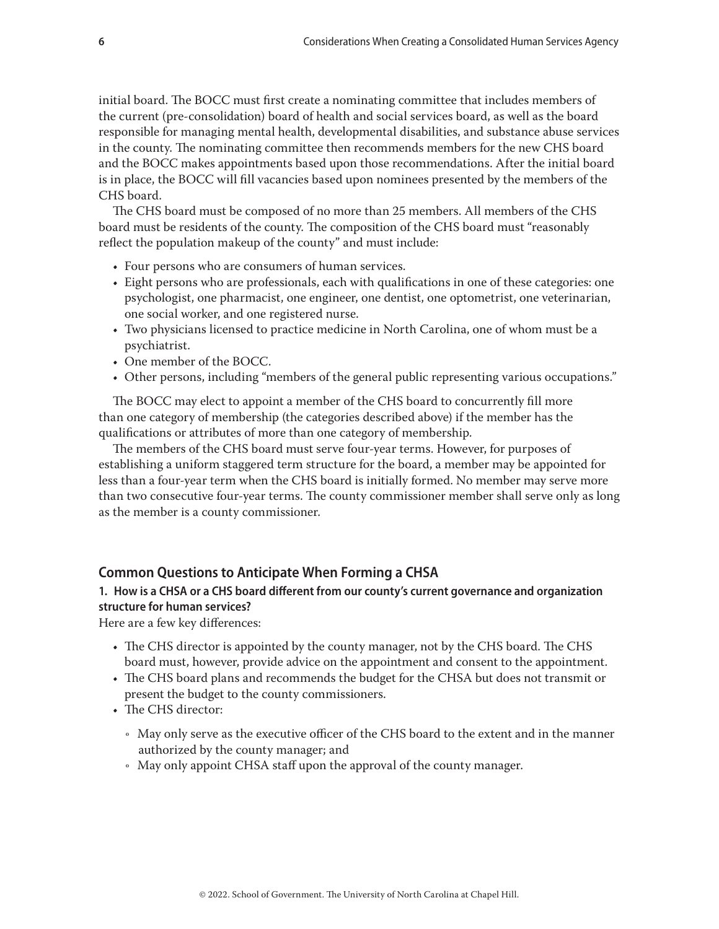initial board. The BOCC must first create a nominating committee that includes members of the current (pre-consolidation) board of health and social services board, as well as the board responsible for managing mental health, developmental disabilities, and substance abuse services in the county. The nominating committee then recommends members for the new CHS board and the BOCC makes appointments based upon those recommendations. After the initial board is in place, the BOCC will fill vacancies based upon nominees presented by the members of the CHS board.

The CHS board must be composed of no more than 25 members. All members of the CHS board must be residents of the county. The composition of the CHS board must "reasonably reflect the population makeup of the county" and must include:

- Four persons who are consumers of human services.
- Eight persons who are professionals, each with qualifications in one of these categories: one psychologist, one pharmacist, one engineer, one dentist, one optometrist, one veterinarian, one social worker, and one registered nurse.
- Two physicians licensed to practice medicine in North Carolina, one of whom must be a psychiatrist.
- One member of the BOCC.
- Other persons, including "members of the general public representing various occupations."

The BOCC may elect to appoint a member of the CHS board to concurrently fill more than one category of membership (the categories described above) if the member has the qualifications or attributes of more than one category of membership.

The members of the CHS board must serve four-year terms. However, for purposes of establishing a uniform staggered term structure for the board, a member may be appointed for less than a four-year term when the CHS board is initially formed. No member may serve more than two consecutive four-year terms. The county commissioner member shall serve only as long as the member is a county commissioner.

# **Common Questions to Anticipate When Forming a CHSA**

# **1. How is a CHSA or a CHS board different from our county's current governance and organization structure for human services?**

Here are a few key differences:

- The CHS director is appointed by the county manager, not by the CHS board. The CHS board must, however, provide advice on the appointment and consent to the appointment.
- The CHS board plans and recommends the budget for the CHSA but does not transmit or present the budget to the county commissioners.
- The CHS director:
	- Ǟ May only serve as the executive officer of the CHS board to the extent and in the manner authorized by the county manager; and
	- Ǟ May only appoint CHSA staff upon the approval of the county manager.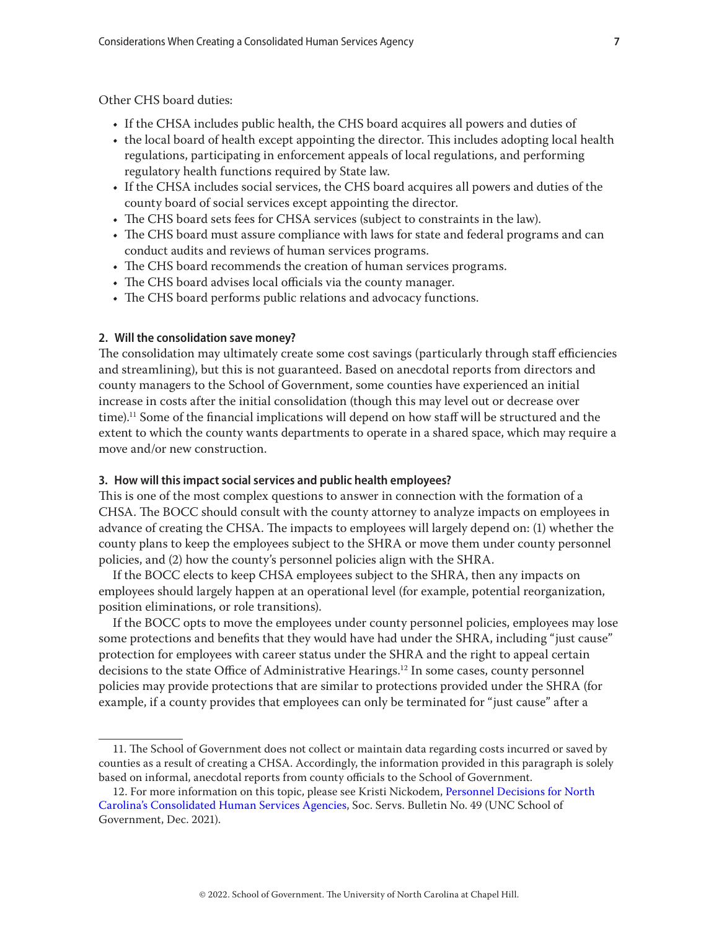Other CHS board duties:

- If the CHSA includes public health, the CHS board acquires all powers and duties of
- the local board of health except appointing the director. This includes adopting local health regulations, participating in enforcement appeals of local regulations, and performing regulatory health functions required by State law.
- If the CHSA includes social services, the CHS board acquires all powers and duties of the county board of social services except appointing the director.
- The CHS board sets fees for CHSA services (subject to constraints in the law).
- The CHS board must assure compliance with laws for state and federal programs and can conduct audits and reviews of human services programs.
- The CHS board recommends the creation of human services programs.
- The CHS board advises local officials via the county manager.
- The CHS board performs public relations and advocacy functions.

## **2. Will the consolidation save money?**

The consolidation may ultimately create some cost savings (particularly through staff efficiencies and streamlining), but this is not guaranteed. Based on anecdotal reports from directors and county managers to the School of Government, some counties have experienced an initial increase in costs after the initial consolidation (though this may level out or decrease over time).11 Some of the financial implications will depend on how staff will be structured and the extent to which the county wants departments to operate in a shared space, which may require a move and/or new construction.

#### **3. How will this impact social services and public health employees?**

This is one of the most complex questions to answer in connection with the formation of a CHSA. The BOCC should consult with the county attorney to analyze impacts on employees in advance of creating the CHSA. The impacts to employees will largely depend on: (1) whether the county plans to keep the employees subject to the SHRA or move them under county personnel policies, and (2) how the county's personnel policies align with the SHRA.

If the BOCC elects to keep CHSA employees subject to the SHRA, then any impacts on employees should largely happen at an operational level (for example, potential reorganization, position eliminations, or role transitions).

If the BOCC opts to move the employees under county personnel policies, employees may lose some protections and benefits that they would have had under the SHRA, including "just cause" protection for employees with career status under the SHRA and the right to appeal certain decisions to the state Office of Administrative Hearings.<sup>12</sup> In some cases, county personnel policies may provide protections that are similar to protections provided under the SHRA (for example, if a county provides that employees can only be terminated for "just cause" after a

<sup>11.</sup> The School of Government does not collect or maintain data regarding costs incurred or saved by counties as a result of creating a CHSA. Accordingly, the information provided in this paragraph is solely based on informal, anecdotal reports from county officials to the School of Government.

<sup>12.</sup> For more information on this topic, please see Kristi Nickodem, [Personnel Decisions for North](https://www.sog.unc.edu/sites/www.sog.unc.edu/files/reports/SSLB%2049.pdf)  [Carolina's Consolidated Human Services Agencies](https://www.sog.unc.edu/sites/www.sog.unc.edu/files/reports/SSLB%2049.pdf), Soc. Servs. Bulletin No. 49 (UNC School of Government, Dec. 2021).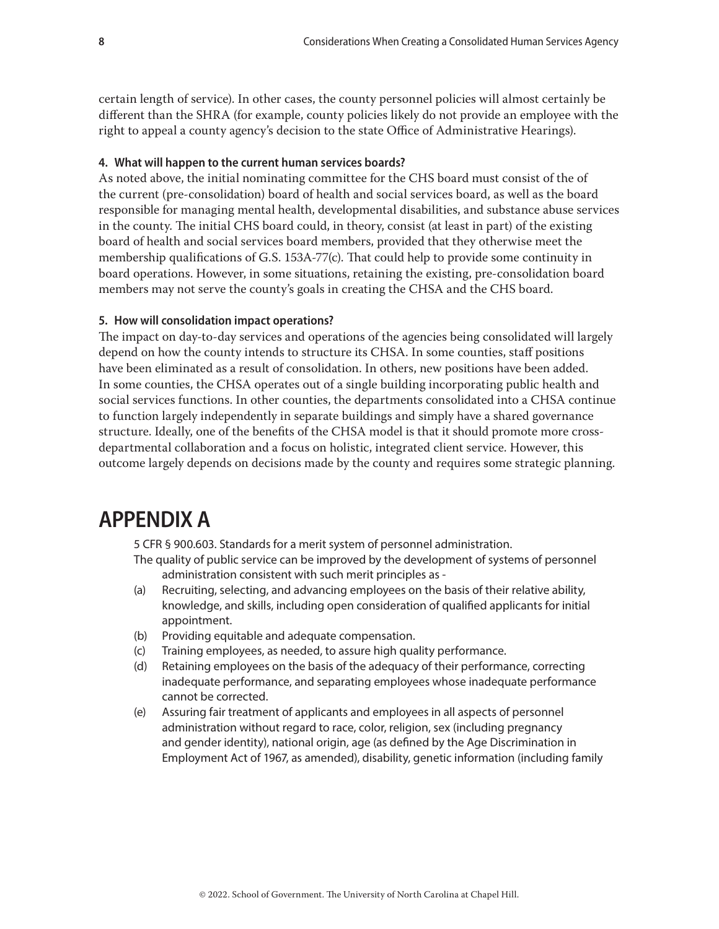certain length of service). In other cases, the county personnel policies will almost certainly be different than the SHRA (for example, county policies likely do not provide an employee with the right to appeal a county agency's decision to the state Office of Administrative Hearings).

# **4. What will happen to the current human services boards?**

As noted above, the initial nominating committee for the CHS board must consist of the of the current (pre-consolidation) board of health and social services board, as well as the board responsible for managing mental health, developmental disabilities, and substance abuse services in the county. The initial CHS board could, in theory, consist (at least in part) of the existing board of health and social services board members, provided that they otherwise meet the membership qualifications of G.S. 153A-77(c). That could help to provide some continuity in board operations. However, in some situations, retaining the existing, pre-consolidation board members may not serve the county's goals in creating the CHSA and the CHS board.

# **5. How will consolidation impact operations?**

The impact on day-to-day services and operations of the agencies being consolidated will largely depend on how the county intends to structure its CHSA. In some counties, staff positions have been eliminated as a result of consolidation. In others, new positions have been added. In some counties, the CHSA operates out of a single building incorporating public health and social services functions. In other counties, the departments consolidated into a CHSA continue to function largely independently in separate buildings and simply have a shared governance structure. Ideally, one of the benefits of the CHSA model is that it should promote more crossdepartmental collaboration and a focus on holistic, integrated client service. However, this outcome largely depends on decisions made by the county and requires some strategic planning.

# **APPENDIX A**

5 CFR § 900.603. Standards for a merit system of personnel administration.

- The quality of public service can be improved by the development of systems of personnel administration consistent with such merit principles as -
- (a) Recruiting, selecting, and advancing employees on the basis of their relative ability, knowledge, and skills, including open consideration of qualified applicants for initial appointment.
- (b) Providing equitable and adequate compensation.
- (c) Training employees, as needed, to assure high quality performance.
- (d) Retaining employees on the basis of the adequacy of their performance, correcting inadequate performance, and separating employees whose inadequate performance cannot be corrected.
- (e) Assuring fair treatment of applicants and employees in all aspects of personnel administration without regard to race, color, religion, sex (including pregnancy and gender identity), national origin, age (as defined by the Age Discrimination in Employment Act of 1967, as amended), disability, genetic information (including family